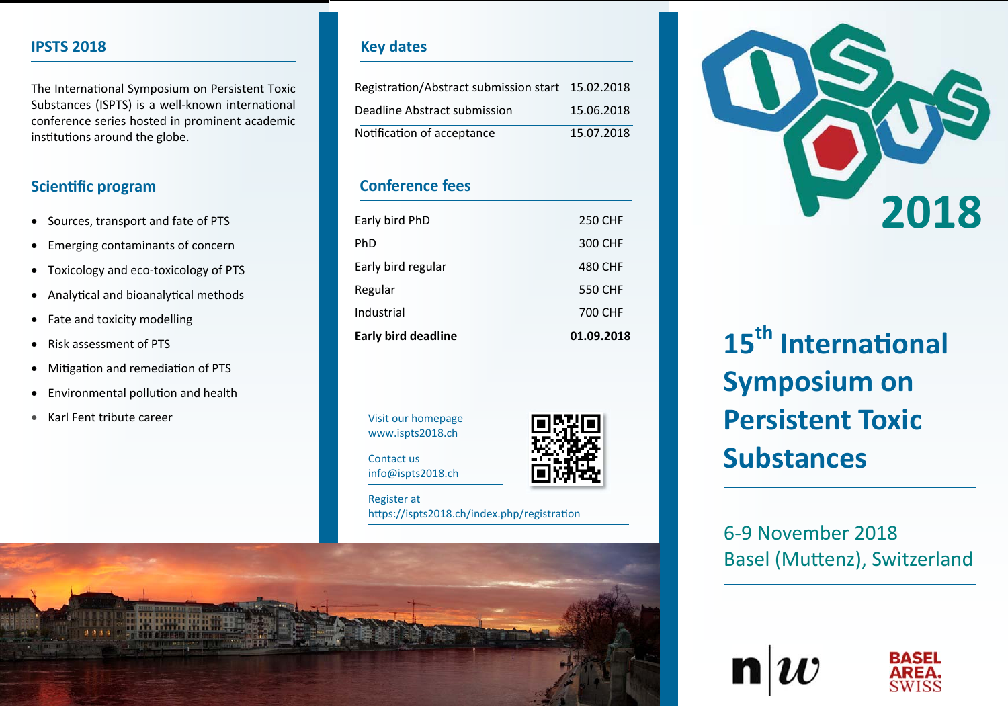# **IPSTS 2018**

The International Symposium on Persistent Toxic Substances (ISPTS) is a well-known international conference series hosted in prominent academic institutions around the globe.

# **Scientific program**

- Sources, transport and fate of PTS
- Emerging contaminants of concern
- Toxicology and eco-toxicology of PTS
- $\bullet$ Analytical and bioanalytical methods
- Fate and toxicity modelling
- $\bullet$ Risk assessment of PTS
- Mitigation and remediation of PTS
- Environmental pollution and health
- Karl Fent tribute career

# **Key dates**

| Registration/Abstract submission start 15.02.2018 |            |
|---------------------------------------------------|------------|
| Deadline Abstract submission                      | 15.06.2018 |
| Notification of acceptance                        | 15.07.2018 |

# **Conference fees**

| Early bird deadline | 01.09.2018 |
|---------------------|------------|
| Industrial          | 700 CHF    |
| Regular             | 550 CHF    |
| Early bird regular  | 480 CHF    |
| PhD                 | 300 CHF    |
| Early bird PhD      | 250 CHF    |
|                     |            |

Visit our homepage www.ispts2018.ch

Contact us info@ispts2018.ch



Register at https://ispts2018.ch/index.php/registration





# **15th InternaƟonal Symposium on Persistent Toxic Substances**

6‐9 November 2018 Basel (Muttenz), Switzerland